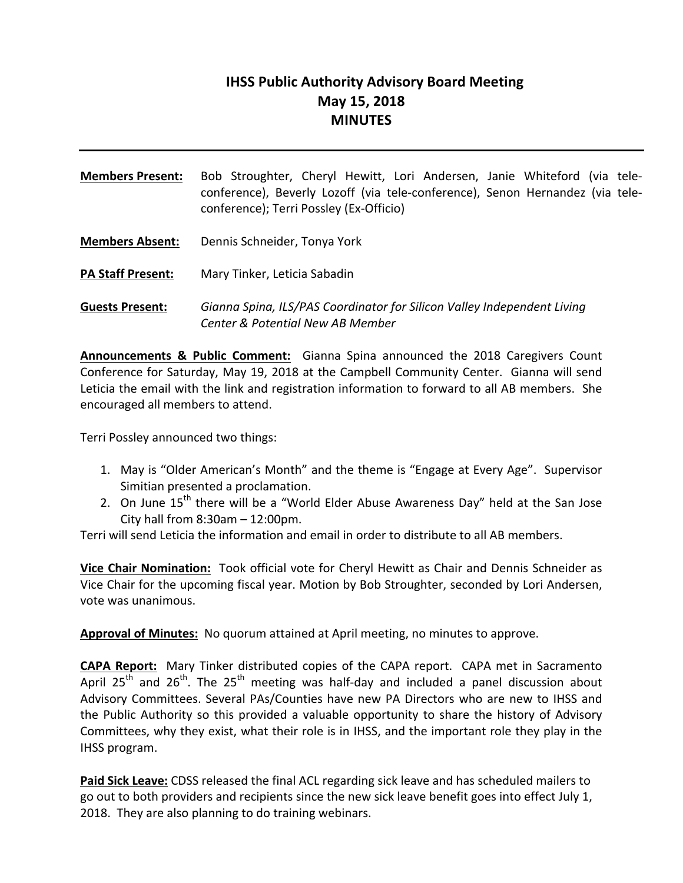# **IHSS Public Authority Advisory Board Meeting May 15, 2018 MINUTES**

- **Members Present:** Bob Stroughter, Cheryl Hewitt, Lori Andersen, Janie Whiteford (via teleconference), Beverly Lozoff (via tele-conference), Senon Hernandez (via teleconference); Terri Possley (Ex-Officio) **Members Absent:** Dennis Schneider, Tonya York
- **PA Staff Present:** Mary Tinker, Leticia Sabadin
- Guests Present: *Gianna Spina, ILS/PAS Coordinator for Silicon Valley Independent Living Center & Potential New AB Member*

**Announcements & Public Comment:** Gianna Spina announced the 2018 Caregivers Count Conference for Saturday, May 19, 2018 at the Campbell Community Center. Gianna will send Leticia the email with the link and registration information to forward to all AB members. She encouraged all members to attend.

Terri Possley announced two things:

- 1. May is "Older American's Month" and the theme is "Engage at Every Age". Supervisor Simitian presented a proclamation.
- 2. On June  $15<sup>th</sup>$  there will be a "World Elder Abuse Awareness Day" held at the San Jose City hall from  $8:30$ am  $- 12:00$ pm.

Terri will send Leticia the information and email in order to distribute to all AB members.

**Vice Chair Nomination:** Took official vote for Cheryl Hewitt as Chair and Dennis Schneider as Vice Chair for the upcoming fiscal year. Motion by Bob Stroughter, seconded by Lori Andersen, vote was unanimous.

**Approval of Minutes:** No quorum attained at April meeting, no minutes to approve.

**CAPA Report:** Mary Tinker distributed copies of the CAPA report. CAPA met in Sacramento April 25<sup>th</sup> and 26<sup>th</sup>. The 25<sup>th</sup> meeting was half-day and included a panel discussion about Advisory Committees. Several PAs/Counties have new PA Directors who are new to IHSS and the Public Authority so this provided a valuable opportunity to share the history of Advisory Committees, why they exist, what their role is in IHSS, and the important role they play in the IHSS program.

**Paid Sick Leave:** CDSS released the final ACL regarding sick leave and has scheduled mailers to go out to both providers and recipients since the new sick leave benefit goes into effect July 1, 2018. They are also planning to do training webinars.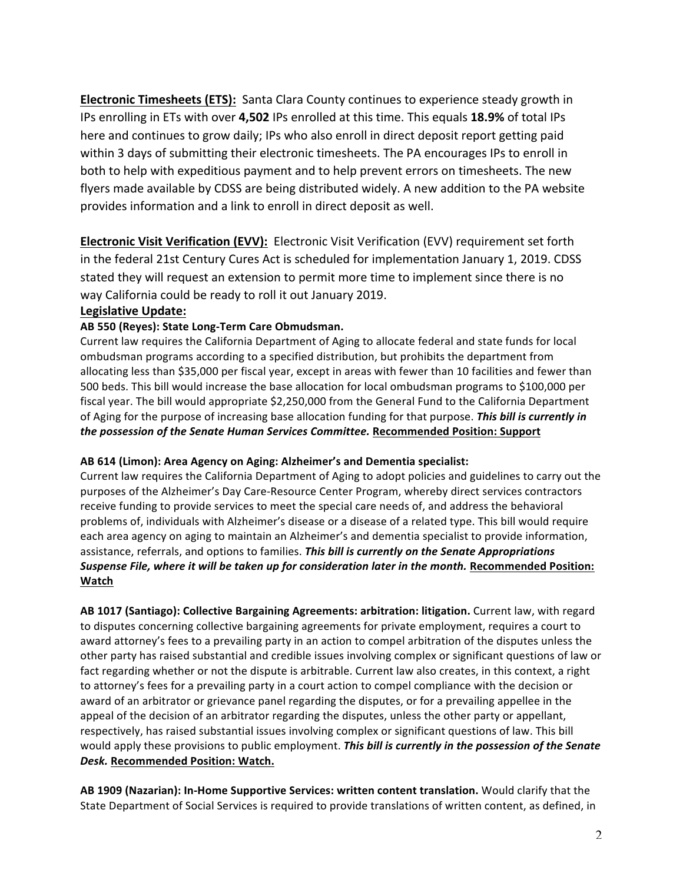**Electronic Timesheets (ETS):** Santa Clara County continues to experience steady growth in IPs enrolling in ETs with over **4,502** IPs enrolled at this time. This equals **18.9%** of total IPs here and continues to grow daily; IPs who also enroll in direct deposit report getting paid within 3 days of submitting their electronic timesheets. The PA encourages IPs to enroll in both to help with expeditious payment and to help prevent errors on timesheets. The new flyers made available by CDSS are being distributed widely. A new addition to the PA website provides information and a link to enroll in direct deposit as well.

**Electronic Visit Verification (EVV):** Electronic Visit Verification (EVV) requirement set forth in the federal 21st Century Cures Act is scheduled for implementation January 1, 2019. CDSS stated they will request an extension to permit more time to implement since there is no way California could be ready to roll it out January 2019.

### **Legislative Update:**

#### AB 550 (Reyes): State Long-Term Care Obmudsman.

Current law requires the California Department of Aging to allocate federal and state funds for local ombudsman programs according to a specified distribution, but prohibits the department from allocating less than \$35,000 per fiscal year, except in areas with fewer than 10 facilities and fewer than 500 beds. This bill would increase the base allocation for local ombudsman programs to \$100,000 per fiscal year. The bill would appropriate \$2,250,000 from the General Fund to the California Department of Aging for the purpose of increasing base allocation funding for that purpose. This bill is currently in *the possession of the Senate Human Services Committee.* Recommended Position: Support

#### AB 614 (Limon): Area Agency on Aging: Alzheimer's and Dementia specialist:

Current law requires the California Department of Aging to adopt policies and guidelines to carry out the purposes of the Alzheimer's Day Care-Resource Center Program, whereby direct services contractors receive funding to provide services to meet the special care needs of, and address the behavioral problems of, individuals with Alzheimer's disease or a disease of a related type. This bill would require each area agency on aging to maintain an Alzheimer's and dementia specialist to provide information, assistance, referrals, and options to families. This bill is currently on the Senate Appropriations *Suspense File, where it will be taken up for consideration later in the month.* Recommended Position: **Watch**

AB 1017 (Santiago): Collective Bargaining Agreements: arbitration: litigation. Current law, with regard to disputes concerning collective bargaining agreements for private employment, requires a court to award attorney's fees to a prevailing party in an action to compel arbitration of the disputes unless the other party has raised substantial and credible issues involving complex or significant questions of law or fact regarding whether or not the dispute is arbitrable. Current law also creates, in this context, a right to attorney's fees for a prevailing party in a court action to compel compliance with the decision or award of an arbitrator or grievance panel regarding the disputes, or for a prevailing appellee in the appeal of the decision of an arbitrator regarding the disputes, unless the other party or appellant, respectively, has raised substantial issues involving complex or significant questions of law. This bill would apply these provisions to public employment. **This bill is currently in the possession of the Senate** *Desk.* **Recommended Position: Watch.**

AB 1909 (Nazarian): In-Home Supportive Services: written content translation. Would clarify that the State Department of Social Services is required to provide translations of written content, as defined, in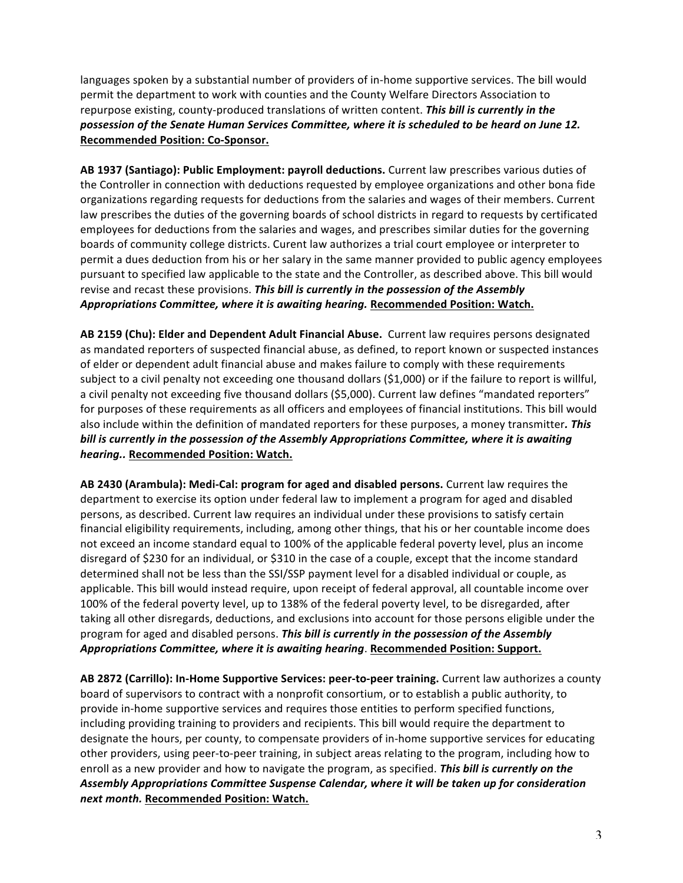languages spoken by a substantial number of providers of in-home supportive services. The bill would permit the department to work with counties and the County Welfare Directors Association to repurpose existing, county-produced translations of written content. This bill is currently in the possession of the Senate Human Services Committee, where it is scheduled to be heard on June 12. **Recommended Position: Co-Sponsor.**

**AB 1937 (Santiago): Public Employment: payroll deductions.** Current law prescribes various duties of the Controller in connection with deductions requested by employee organizations and other bona fide organizations regarding requests for deductions from the salaries and wages of their members. Current law prescribes the duties of the governing boards of school districts in regard to requests by certificated employees for deductions from the salaries and wages, and prescribes similar duties for the governing boards of community college districts. Curent law authorizes a trial court employee or interpreter to permit a dues deduction from his or her salary in the same manner provided to public agency employees pursuant to specified law applicable to the state and the Controller, as described above. This bill would revise and recast these provisions. This bill is currently in the possession of the Assembly *Appropriations Committee, where it is awaiting hearing.* **Recommended Position: Watch.**

AB 2159 (Chu): Elder and Dependent Adult Financial Abuse. Current law requires persons designated as mandated reporters of suspected financial abuse, as defined, to report known or suspected instances of elder or dependent adult financial abuse and makes failure to comply with these requirements subject to a civil penalty not exceeding one thousand dollars  $(S1,000)$  or if the failure to report is willful, a civil penalty not exceeding five thousand dollars (\$5,000). Current law defines "mandated reporters" for purposes of these requirements as all officers and employees of financial institutions. This bill would also include within the definition of mandated reporters for these purposes, a money transmitter. This bill is currently in the possession of the Assembly Appropriations Committee, where it is awaiting *hearing..* **Recommended Position: Watch.**

AB 2430 (Arambula): Medi-Cal: program for aged and disabled persons. Current law requires the department to exercise its option under federal law to implement a program for aged and disabled persons, as described. Current law requires an individual under these provisions to satisfy certain financial eligibility requirements, including, among other things, that his or her countable income does not exceed an income standard equal to 100% of the applicable federal poverty level, plus an income disregard of \$230 for an individual, or \$310 in the case of a couple, except that the income standard determined shall not be less than the SSI/SSP payment level for a disabled individual or couple, as applicable. This bill would instead require, upon receipt of federal approval, all countable income over 100% of the federal poverty level, up to 138% of the federal poverty level, to be disregarded, after taking all other disregards, deductions, and exclusions into account for those persons eligible under the program for aged and disabled persons. This bill is currently in the possession of the Assembly Appropriations Committee, where it is awaiting hearing. Recommended Position: Support.

AB 2872 (Carrillo): In-Home Supportive Services: peer-to-peer training. Current law authorizes a county board of supervisors to contract with a nonprofit consortium, or to establish a public authority, to provide in-home supportive services and requires those entities to perform specified functions, including providing training to providers and recipients. This bill would require the department to designate the hours, per county, to compensate providers of in-home supportive services for educating other providers, using peer-to-peer training, in subject areas relating to the program, including how to enroll as a new provider and how to navigate the program, as specified. This bill is currently on the Assembly Appropriations Committee Suspense Calendar, where it will be taken up for consideration *next month.* **Recommended Position: Watch.**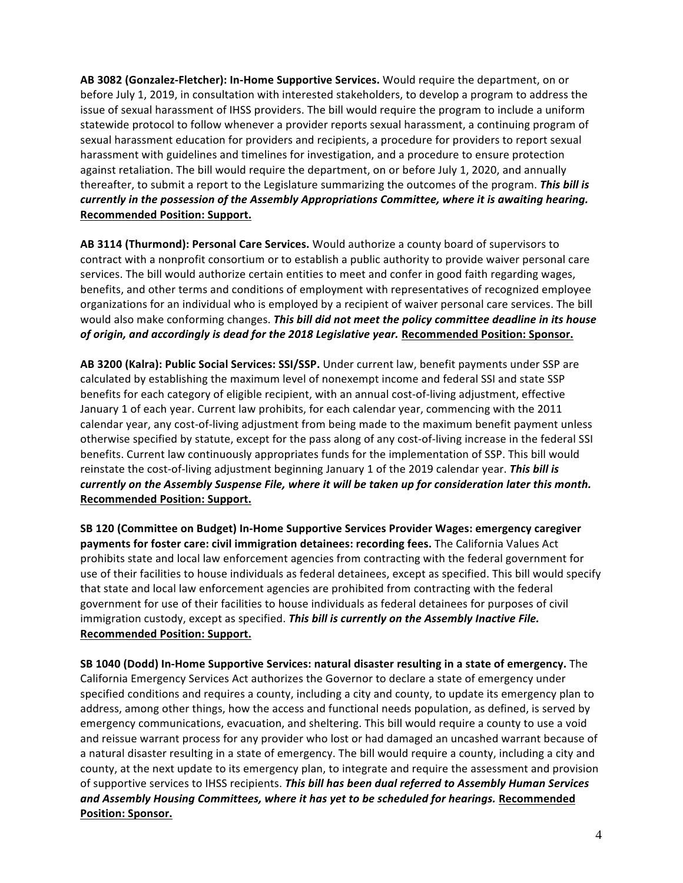AB 3082 (Gonzalez-Fletcher): In-Home Supportive Services. Would require the department, on or before July 1, 2019, in consultation with interested stakeholders, to develop a program to address the issue of sexual harassment of IHSS providers. The bill would require the program to include a uniform statewide protocol to follow whenever a provider reports sexual harassment, a continuing program of sexual harassment education for providers and recipients, a procedure for providers to report sexual harassment with guidelines and timelines for investigation, and a procedure to ensure protection against retaliation. The bill would require the department, on or before July 1, 2020, and annually thereafter, to submit a report to the Legislature summarizing the outcomes of the program. **This bill is** *currently* in the possession of the Assembly Appropriations Committee, where it is awaiting hearing. **Recommended Position: Support.**

AB 3114 (Thurmond): Personal Care Services. Would authorize a county board of supervisors to contract with a nonprofit consortium or to establish a public authority to provide waiver personal care services. The bill would authorize certain entities to meet and confer in good faith regarding wages, benefits, and other terms and conditions of employment with representatives of recognized employee organizations for an individual who is employed by a recipient of waiver personal care services. The bill would also make conforming changes. This bill did not meet the policy committee deadline in its house of origin, and accordingly is dead for the 2018 Legislative year. Recommended Position: Sponsor.

AB 3200 (Kalra): Public Social Services: SSI/SSP. Under current law, benefit payments under SSP are calculated by establishing the maximum level of nonexempt income and federal SSI and state SSP benefits for each category of eligible recipient, with an annual cost-of-living adjustment, effective January 1 of each year. Current law prohibits, for each calendar year, commencing with the 2011 calendar year, any cost-of-living adjustment from being made to the maximum benefit payment unless otherwise specified by statute, except for the pass along of any cost-of-living increase in the federal SSI benefits. Current law continuously appropriates funds for the implementation of SSP. This bill would reinstate the cost-of-living adjustment beginning January 1 of the 2019 calendar year. This bill is *currently* on the Assembly Suspense File, where it will be taken up for consideration later this month. **Recommended Position: Support.**

**SB 120 (Committee on Budget) In-Home Supportive Services Provider Wages: emergency caregiver payments for foster care: civil immigration detainees: recording fees.** The California Values Act prohibits state and local law enforcement agencies from contracting with the federal government for use of their facilities to house individuals as federal detainees, except as specified. This bill would specify that state and local law enforcement agencies are prohibited from contracting with the federal government for use of their facilities to house individuals as federal detainees for purposes of civil immigration custody, except as specified. This bill is currently on the Assembly Inactive File. **Recommended Position: Support.** 

**SB 1040 (Dodd) In-Home Supportive Services: natural disaster resulting in a state of emergency.** The California Emergency Services Act authorizes the Governor to declare a state of emergency under specified conditions and requires a county, including a city and county, to update its emergency plan to address, among other things, how the access and functional needs population, as defined, is served by emergency communications, evacuation, and sheltering. This bill would require a county to use a void and reissue warrant process for any provider who lost or had damaged an uncashed warrant because of a natural disaster resulting in a state of emergency. The bill would require a county, including a city and county, at the next update to its emergency plan, to integrate and require the assessment and provision of supportive services to IHSS recipients. This bill has been dual referred to Assembly Human Services and Assembly Housing Committees, where it has yet to be scheduled for hearings. Recommended **Position: Sponsor.**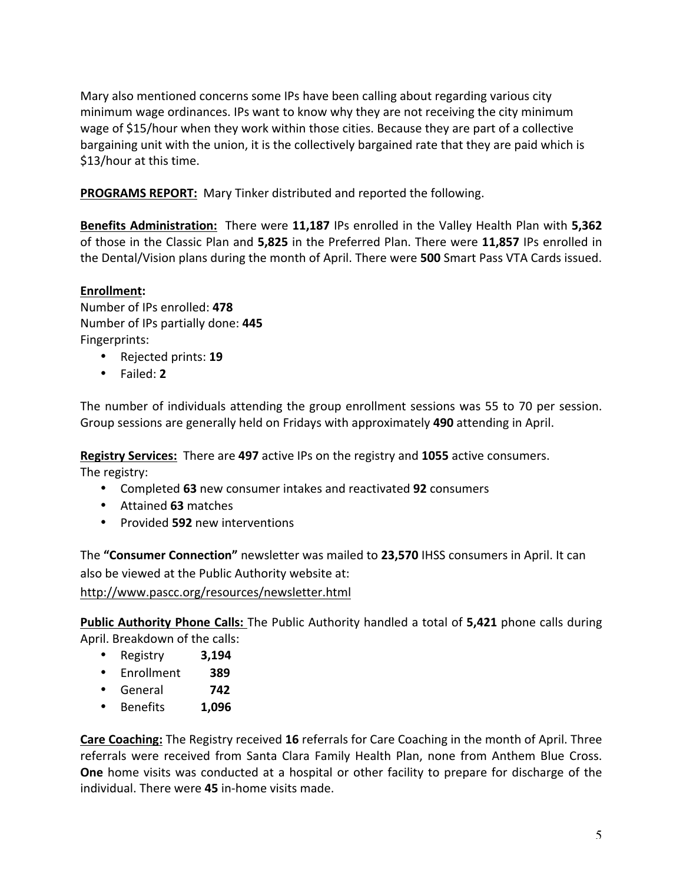Mary also mentioned concerns some IPs have been calling about regarding various city minimum wage ordinances. IPs want to know why they are not receiving the city minimum wage of \$15/hour when they work within those cities. Because they are part of a collective bargaining unit with the union, it is the collectively bargained rate that they are paid which is \$13/hour at this time.

**PROGRAMS REPORT:** Mary Tinker distributed and reported the following.

**Benefits Administration:** There were **11,187** IPs enrolled in the Valley Health Plan with **5,362** of those in the Classic Plan and 5,825 in the Preferred Plan. There were 11,857 IPs enrolled in the Dental/Vision plans during the month of April. There were **500** Smart Pass VTA Cards issued.

# **Enrollment:**

Number of IPs enrolled: **478** Number of IPs partially done: **445** Fingerprints: 

- Rejected prints: **19**
- Failed: **2**

The number of individuals attending the group enrollment sessions was 55 to 70 per session. Group sessions are generally held on Fridays with approximately 490 attending in April.

**Registry Services:** There are 497 active IPs on the registry and 1055 active consumers. The registry:

- Completed 63 new consumer intakes and reactivated 92 consumers
- Attained **63** matches
- Provided **592** new interventions

The "Consumer Connection" newsletter was mailed to 23,570 IHSS consumers in April. It can also be viewed at the Public Authority website at:

<http://www.pascc.org/resources/newsletter.html>

**Public Authority Phone Calls:** The Public Authority handled a total of 5,421 phone calls during April. Breakdown of the calls:

- Registry **3,194**
- Enrollment  **389**
- General  **742**
- Benefits **1,096**

**Care Coaching:** The Registry received 16 referrals for Care Coaching in the month of April. Three referrals were received from Santa Clara Family Health Plan, none from Anthem Blue Cross. **One** home visits was conducted at a hospital or other facility to prepare for discharge of the individual. There were **45** in-home visits made.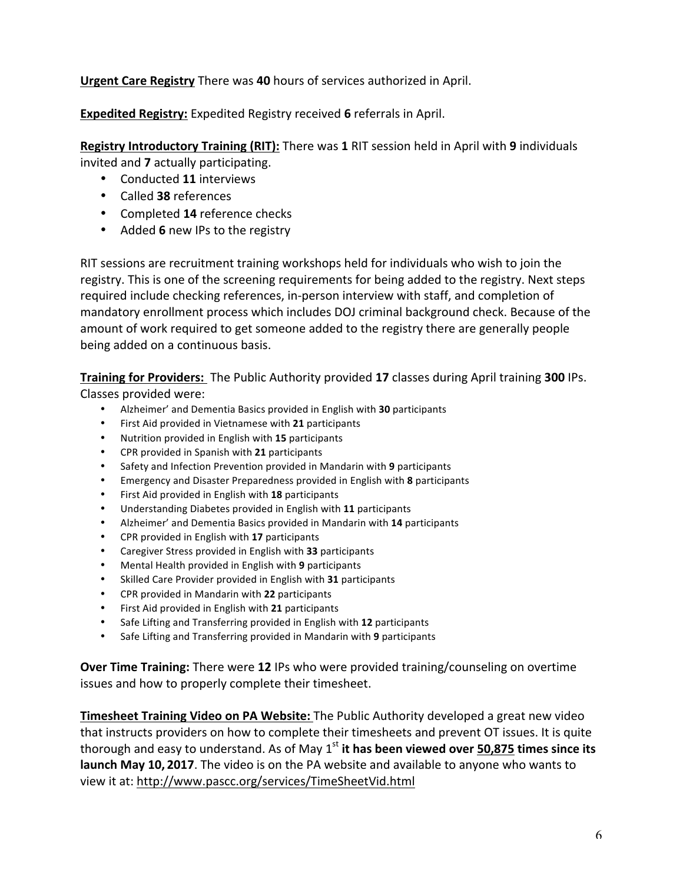**Urgent Care Registry** There was 40 hours of services authorized in April.

**Expedited Registry:** Expedited Registry received 6 referrals in April.

Registry Introductory Training (RIT): There was 1 RIT session held in April with 9 individuals invited and **7** actually participating.

- Conducted **11** interviews
- Called **38** references
- Completed 14 reference checks
- Added **6** new IPs to the registry

RIT sessions are recruitment training workshops held for individuals who wish to join the registry. This is one of the screening requirements for being added to the registry. Next steps required include checking references, in-person interview with staff, and completion of mandatory enrollment process which includes DOJ criminal background check. Because of the amount of work required to get someone added to the registry there are generally people being added on a continuous basis.

**Training for Providers:** The Public Authority provided 17 classes during April training 300 IPs. Classes provided were:

- Alzheimer' and Dementia Basics provided in English with **30** participants
- First Aid provided in Vietnamese with 21 participants
- Nutrition provided in English with 15 participants
- CPR provided in Spanish with **21** participants
- Safety and Infection Prevention provided in Mandarin with 9 participants
- Emergency and Disaster Preparedness provided in English with 8 participants
- First Aid provided in English with 18 participants
- Understanding Diabetes provided in English with **11** participants
- Alzheimer' and Dementia Basics provided in Mandarin with 14 participants
- CPR provided in English with **17** participants
- Caregiver Stress provided in English with 33 participants
- Mental Health provided in English with 9 participants
- Skilled Care Provider provided in English with 31 participants
- CPR provided in Mandarin with **22** participants
- First Aid provided in English with **21** participants
- Safe Lifting and Transferring provided in English with 12 participants
- Safe Lifting and Transferring provided in Mandarin with 9 participants

**Over Time Training:** There were 12 IPs who were provided training/counseling on overtime issues and how to properly complete their timesheet.

**Timesheet Training Video on PA Website:** The Public Authority developed a great new video that instructs providers on how to complete their timesheets and prevent OT issues. It is quite thorough and easy to understand. As of May  $1<sup>st</sup>$  it has been viewed over 50,875 times since its **launch May 10, 2017**. The video is on the PA website and available to anyone who wants to view it at: <http://www.pascc.org/services/TimeSheetVid.html>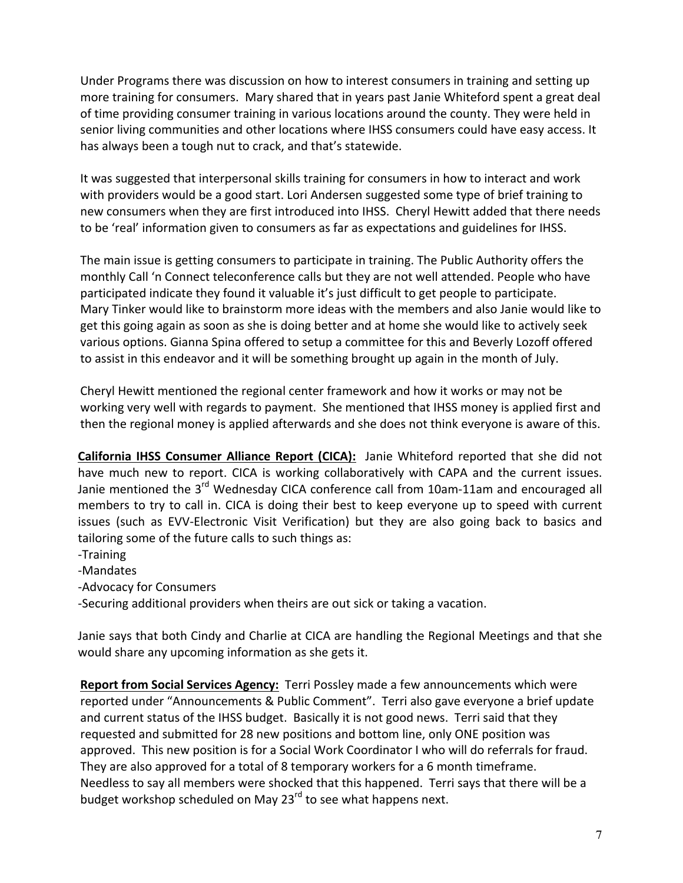Under Programs there was discussion on how to interest consumers in training and setting up more training for consumers. Mary shared that in years past Janie Whiteford spent a great deal of time providing consumer training in various locations around the county. They were held in senior living communities and other locations where IHSS consumers could have easy access. It has always been a tough nut to crack, and that's statewide.

It was suggested that interpersonal skills training for consumers in how to interact and work with providers would be a good start. Lori Andersen suggested some type of brief training to new consumers when they are first introduced into IHSS. Cheryl Hewitt added that there needs to be 'real' information given to consumers as far as expectations and guidelines for IHSS.

The main issue is getting consumers to participate in training. The Public Authority offers the monthly Call 'n Connect teleconference calls but they are not well attended. People who have participated indicate they found it valuable it's just difficult to get people to participate. Mary Tinker would like to brainstorm more ideas with the members and also Janie would like to get this going again as soon as she is doing better and at home she would like to actively seek various options. Gianna Spina offered to setup a committee for this and Beverly Lozoff offered to assist in this endeavor and it will be something brought up again in the month of July.

Cheryl Hewitt mentioned the regional center framework and how it works or may not be working very well with regards to payment. She mentioned that IHSS money is applied first and then the regional money is applied afterwards and she does not think everyone is aware of this.

**California IHSS Consumer Alliance Report (CICA):** Janie Whiteford reported that she did not have much new to report. CICA is working collaboratively with CAPA and the current issues. Janie mentioned the 3<sup>rd</sup> Wednesday CICA conference call from 10am-11am and encouraged all members to try to call in. CICA is doing their best to keep everyone up to speed with current issues (such as EVV-Electronic Visit Verification) but they are also going back to basics and tailoring some of the future calls to such things as:

- -Training
- -Mandates
- -Advocacy for Consumers

-Securing additional providers when theirs are out sick or taking a vacation.

Janie says that both Cindy and Charlie at CICA are handling the Regional Meetings and that she would share any upcoming information as she gets it.

**Report from Social Services Agency:** Terri Possley made a few announcements which were reported under "Announcements & Public Comment". Terri also gave everyone a brief update and current status of the IHSS budget. Basically it is not good news. Terri said that they requested and submitted for 28 new positions and bottom line, only ONE position was approved. This new position is for a Social Work Coordinator I who will do referrals for fraud. They are also approved for a total of 8 temporary workers for a 6 month timeframe. Needless to say all members were shocked that this happened. Terri says that there will be a budget workshop scheduled on May 23 $^{\text{rd}}$  to see what happens next.